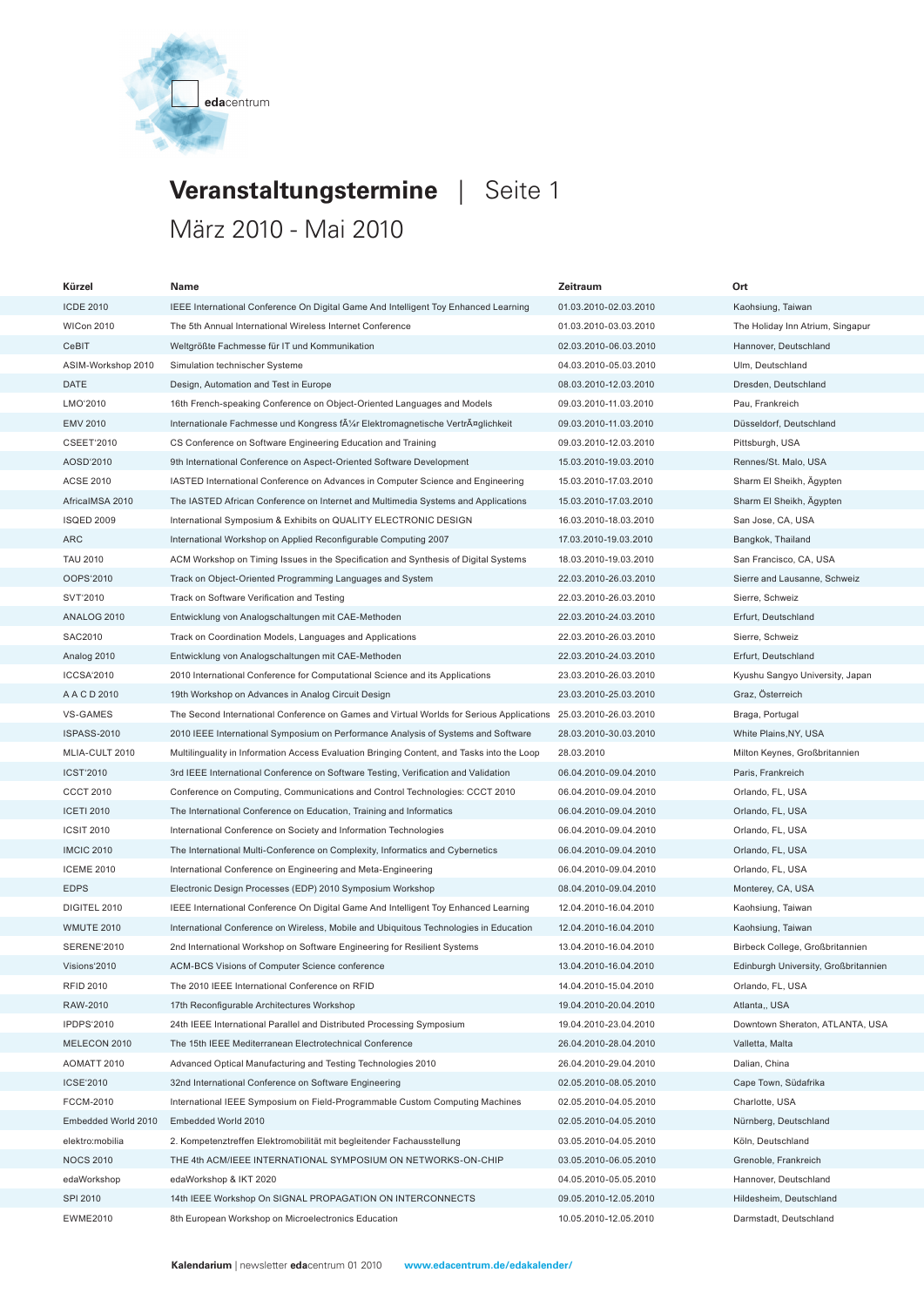

## **Veranstaltungstermine** | Seite 1 März 2010 - Mai 2010

| Kürzel              | Name                                                                                       | Zeitraum              | Ort                                  |  |
|---------------------|--------------------------------------------------------------------------------------------|-----------------------|--------------------------------------|--|
| <b>ICDE 2010</b>    | IEEE International Conference On Digital Game And Intelligent Toy Enhanced Learning        | 01.03.2010-02.03.2010 |                                      |  |
| <b>WICon 2010</b>   | The 5th Annual International Wireless Internet Conference<br>01.03.2010-03.03.2010         |                       | The Holiday Inn Atrium, Singapur     |  |
| CeBIT               | 02.03.2010-06.03.2010<br>Weltgrößte Fachmesse für IT und Kommunikation                     |                       | Hannover, Deutschland                |  |
| ASIM-Workshop 2010  | Simulation technischer Systeme<br>04.03.2010-05.03.2010                                    |                       | Ulm, Deutschland                     |  |
| DATE                | Design, Automation and Test in Europe                                                      | 08.03.2010-12.03.2010 | Dresden, Deutschland                 |  |
| LMO'2010            | 16th French-speaking Conference on Object-Oriented Languages and Models                    | 09.03.2010-11.03.2010 | Pau, Frankreich                      |  |
| <b>EMV 2010</b>     | Internationale Fachmesse und Kongress f¼r Elektromagnetische VertrĤglichkeit               | 09.03.2010-11.03.2010 | Düsseldorf, Deutschland              |  |
| <b>CSEET'2010</b>   | CS Conference on Software Engineering Education and Training                               | 09.03.2010-12.03.2010 | Pittsburgh, USA                      |  |
| AOSD'2010           | 9th International Conference on Aspect-Oriented Software Development                       | 15.03.2010-19.03.2010 | Rennes/St. Malo, USA                 |  |
| <b>ACSE 2010</b>    | IASTED International Conference on Advances in Computer Science and Engineering            | 15.03.2010-17.03.2010 | Sharm El Sheikh, Ägypten             |  |
| AfricalMSA 2010     | The IASTED African Conference on Internet and Multimedia Systems and Applications          | 15.03.2010-17.03.2010 | Sharm El Sheikh, Ägypten             |  |
| <b>ISQED 2009</b>   | International Symposium & Exhibits on QUALITY ELECTRONIC DESIGN                            | 16.03.2010-18.03.2010 | San Jose, CA, USA                    |  |
| <b>ARC</b>          | International Workshop on Applied Reconfigurable Computing 2007                            | 17.03.2010-19.03.2010 | Bangkok, Thailand                    |  |
| <b>TAU 2010</b>     | ACM Workshop on Timing Issues in the Specification and Synthesis of Digital Systems        | 18.03.2010-19.03.2010 | San Francisco, CA, USA               |  |
| OOPS'2010           | Track on Object-Oriented Programming Languages and System                                  | 22.03.2010-26.03.2010 | Sierre and Lausanne, Schweiz         |  |
| SVT'2010            | Track on Software Verification and Testing                                                 | 22.03.2010-26.03.2010 | Sierre, Schweiz                      |  |
| ANALOG 2010         | Entwicklung von Analogschaltungen mit CAE-Methoden                                         | 22.03.2010-24.03.2010 | Erfurt, Deutschland                  |  |
| SAC2010             | Track on Coordination Models, Languages and Applications                                   | 22.03.2010-26.03.2010 | Sierre, Schweiz                      |  |
| Analog 2010         | Entwicklung von Analogschaltungen mit CAE-Methoden                                         | 22.03.2010-24.03.2010 | Erfurt, Deutschland                  |  |
| <b>ICCSA'2010</b>   | 2010 International Conference for Computational Science and its Applications               | 23.03.2010-26.03.2010 | Kyushu Sangyo University, Japan      |  |
| A A C D 2010        | 19th Workshop on Advances in Analog Circuit Design                                         | 23.03.2010-25.03.2010 | Graz, Österreich                     |  |
| VS-GAMES            | The Second International Conference on Games and Virtual Worlds for Serious Applications   | 25.03.2010-26.03.2010 | Braga, Portugal                      |  |
| <b>ISPASS-2010</b>  | 2010 IEEE International Symposium on Performance Analysis of Systems and Software          | 28.03.2010-30.03.2010 | White Plains, NY, USA                |  |
| MLIA-CULT 2010      | Multilinguality in Information Access Evaluation Bringing Content, and Tasks into the Loop | 28.03.2010            | Milton Keynes, Großbritannien        |  |
| <b>ICST'2010</b>    | 3rd IEEE International Conference on Software Testing, Verification and Validation         | 06.04.2010-09.04.2010 | Paris, Frankreich                    |  |
| <b>CCCT 2010</b>    | Conference on Computing, Communications and Control Technologies: CCCT 2010                | 06.04.2010-09.04.2010 | Orlando, FL, USA                     |  |
| <b>ICETI 2010</b>   | The International Conference on Education, Training and Informatics                        | 06.04.2010-09.04.2010 | Orlando, FL, USA                     |  |
| <b>ICSIT 2010</b>   | International Conference on Society and Information Technologies                           | 06.04.2010-09.04.2010 | Orlando, FL, USA                     |  |
| <b>IMCIC 2010</b>   | The International Multi-Conference on Complexity, Informatics and Cybernetics              | 06.04.2010-09.04.2010 | Orlando, FL, USA                     |  |
| <b>ICEME 2010</b>   | International Conference on Engineering and Meta-Engineering                               | 06.04.2010-09.04.2010 | Orlando, FL, USA                     |  |
| <b>EDPS</b>         | Electronic Design Processes (EDP) 2010 Symposium Workshop                                  | 08.04.2010-09.04.2010 | Monterey, CA, USA                    |  |
| DIGITEL 2010        | IEEE International Conference On Digital Game And Intelligent Toy Enhanced Learning        | 12.04.2010-16.04.2010 | Kaohsiung, Taiwan                    |  |
| <b>WMUTE 2010</b>   | International Conference on Wireless, Mobile and Ubiquitous Technologies in Education      | 12.04.2010-16.04.2010 | Kaohsiung, Taiwan                    |  |
| <b>SERENE'2010</b>  | 2nd International Workshop on Software Engineering for Resilient Systems                   | 13.04.2010-16.04.2010 | Birbeck College, Großbritannien      |  |
| Visions'2010        | ACM-BCS Visions of Computer Science conference                                             | 13.04.2010-16.04.2010 | Edinburgh University, Großbritannien |  |
| <b>RFID 2010</b>    | The 2010 IEEE International Conference on RFID                                             | 14.04.2010-15.04.2010 | Orlando, FL, USA                     |  |
| RAW-2010            | 17th Reconfigurable Architectures Workshop                                                 | 19.04.2010-20.04.2010 | Atlanta,, USA                        |  |
| <b>IPDPS'2010</b>   | 24th IEEE International Parallel and Distributed Processing Symposium                      | 19.04.2010-23.04.2010 | Downtown Sheraton, ATLANTA, USA      |  |
| MELECON 2010        | The 15th IEEE Mediterranean Electrotechnical Conference                                    | 26.04.2010-28.04.2010 | Valletta, Malta                      |  |
| AOMATT 2010         | Advanced Optical Manufacturing and Testing Technologies 2010                               | 26.04.2010-29.04.2010 | Dalian, China                        |  |
| ICSE'2010           | 32nd International Conference on Software Engineering                                      | 02.05.2010-08.05.2010 | Cape Town, Südafrika                 |  |
| <b>FCCM-2010</b>    | International IEEE Symposium on Field-Programmable Custom Computing Machines               | 02.05.2010-04.05.2010 | Charlotte, USA                       |  |
| Embedded World 2010 | Embedded World 2010                                                                        | 02.05.2010-04.05.2010 | Nürnberg, Deutschland                |  |
| elektro:mobilia     | 2. Kompetenztreffen Elektromobilität mit begleitender Fachausstellung                      | 03.05.2010-04.05.2010 | Köln, Deutschland                    |  |
| <b>NOCS 2010</b>    | THE 4th ACM/IEEE INTERNATIONAL SYMPOSIUM ON NETWORKS-ON-CHIP                               | 03.05.2010-06.05.2010 | Grenoble, Frankreich                 |  |
| edaWorkshop         | edaWorkshop & IKT 2020                                                                     | 04.05.2010-05.05.2010 | Hannover, Deutschland                |  |
| SPI 2010            | 14th IEEE Workshop On SIGNAL PROPAGATION ON INTERCONNECTS                                  | 09.05.2010-12.05.2010 | Hildesheim, Deutschland              |  |
| <b>EWME2010</b>     | 8th European Workshop on Microelectronics Education                                        | 10.05.2010-12.05.2010 | Darmstadt, Deutschland               |  |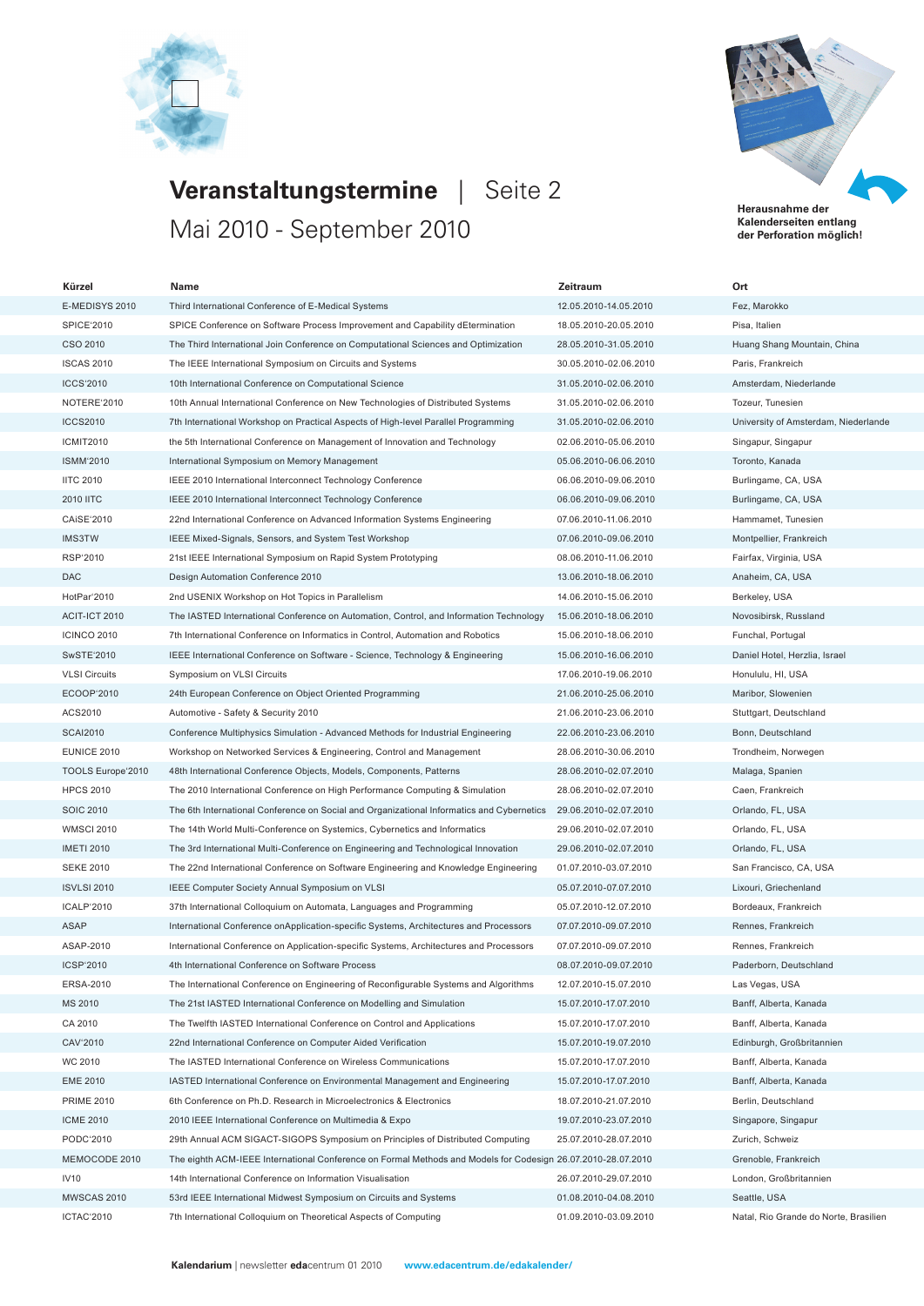



**Kalenderseiten entlang der Perforation möglich!**

**Veranstaltungstermine** | Seite 2 Mai 2010 - September 2010

| Kürzel               | Name                                                                                                         | Zeitraum              | Ort                                   |
|----------------------|--------------------------------------------------------------------------------------------------------------|-----------------------|---------------------------------------|
| E-MEDISYS 2010       | Third International Conference of E-Medical Systems                                                          | 12.05.2010-14.05.2010 | Fez, Marokko                          |
| SPICE'2010           | SPICE Conference on Software Process Improvement and Capability dEtermination                                | 18.05.2010-20.05.2010 | Pisa, Italien                         |
| CSO 2010             | The Third International Join Conference on Computational Sciences and Optimization                           | 28.05.2010-31.05.2010 | Huang Shang Mountain, China           |
| <b>ISCAS 2010</b>    | The IEEE International Symposium on Circuits and Systems                                                     | 30.05.2010-02.06.2010 | Paris, Frankreich                     |
| <b>ICCS'2010</b>     | 10th International Conference on Computational Science                                                       | 31.05.2010-02.06.2010 | Amsterdam, Niederlande                |
| NOTERE'2010          | 10th Annual International Conference on New Technologies of Distributed Systems                              | 31.05.2010-02.06.2010 | Tozeur, Tunesien                      |
| <b>ICCS2010</b>      | 7th International Workshop on Practical Aspects of High-level Parallel Programming                           | 31.05.2010-02.06.2010 | University of Amsterdam, Niederlande  |
| <b>ICMIT2010</b>     | the 5th International Conference on Management of Innovation and Technology                                  | 02.06.2010-05.06.2010 | Singapur, Singapur                    |
| <b>ISMM'2010</b>     | International Symposium on Memory Management                                                                 | 05.06.2010-06.06.2010 | Toronto, Kanada                       |
| <b>IITC 2010</b>     | IEEE 2010 International Interconnect Technology Conference                                                   | 06.06.2010-09.06.2010 | Burlingame, CA, USA                   |
| <b>2010 IITC</b>     | IEEE 2010 International Interconnect Technology Conference                                                   | 06.06.2010-09.06.2010 | Burlingame, CA, USA                   |
| CAISE'2010           | 22nd International Conference on Advanced Information Systems Engineering                                    | 07.06.2010-11.06.2010 | Hammamet, Tunesien                    |
| IMS3TW               | IEEE Mixed-Signals, Sensors, and System Test Workshop                                                        | 07.06.2010-09.06.2010 | Montpellier, Frankreich               |
| RSP'2010             | 21st IEEE International Symposium on Rapid System Prototyping                                                | 08.06.2010-11.06.2010 | Fairfax, Virginia, USA                |
| <b>DAC</b>           | Design Automation Conference 2010                                                                            | 13.06.2010-18.06.2010 | Anaheim, CA, USA                      |
| HotPar'2010          | 2nd USENIX Workshop on Hot Topics in Parallelism                                                             | 14.06.2010-15.06.2010 | Berkeley, USA                         |
| ACIT-ICT 2010        | The IASTED International Conference on Automation, Control, and Information Technology                       | 15.06.2010-18.06.2010 | Novosibirsk, Russland                 |
| <b>ICINCO 2010</b>   | 7th International Conference on Informatics in Control, Automation and Robotics                              | 15.06.2010-18.06.2010 | Funchal, Portugal                     |
| SwSTE'2010           | IEEE International Conference on Software - Science, Technology & Engineering                                | 15.06.2010-16.06.2010 | Daniel Hotel, Herzlia, Israel         |
| <b>VLSI Circuits</b> | Symposium on VLSI Circuits                                                                                   | 17.06.2010-19.06.2010 | Honululu, HI, USA                     |
| ECOOP'2010           | 24th European Conference on Object Oriented Programming                                                      | 21.06.2010-25.06.2010 | Maribor, Slowenien                    |
| ACS2010              | Automotive - Safety & Security 2010                                                                          | 21.06.2010-23.06.2010 | Stuttgart, Deutschland                |
| <b>SCAI2010</b>      | Conference Multiphysics Simulation - Advanced Methods for Industrial Engineering                             | 22.06.2010-23.06.2010 | Bonn, Deutschland                     |
| <b>EUNICE 2010</b>   | Workshop on Networked Services & Engineering, Control and Management                                         | 28.06.2010-30.06.2010 | Trondheim, Norwegen                   |
| TOOLS Europe'2010    | 48th International Conference Objects, Models, Components, Patterns                                          | 28.06.2010-02.07.2010 | Malaga, Spanien                       |
| <b>HPCS 2010</b>     | The 2010 International Conference on High Performance Computing & Simulation                                 | 28.06.2010-02.07.2010 | Caen, Frankreich                      |
| <b>SOIC 2010</b>     | The 6th International Conference on Social and Organizational Informatics and Cybernetics                    | 29.06.2010-02.07.2010 | Orlando, FL, USA                      |
| <b>WMSCI 2010</b>    | The 14th World Multi-Conference on Systemics, Cybernetics and Informatics                                    | 29.06.2010-02.07.2010 | Orlando, FL, USA                      |
| <b>IMETI 2010</b>    | The 3rd International Multi-Conference on Engineering and Technological Innovation                           | 29.06.2010-02.07.2010 | Orlando, FL, USA                      |
| <b>SEKE 2010</b>     | The 22nd International Conference on Software Engineering and Knowledge Engineering                          | 01.07.2010-03.07.2010 | San Francisco, CA, USA                |
| <b>ISVLSI 2010</b>   | IEEE Computer Society Annual Symposium on VLSI                                                               | 05.07.2010-07.07.2010 | Lixouri, Griechenland                 |
| ICALP'2010           | 37th International Colloquium on Automata, Languages and Programming                                         | 05.07.2010-12.07.2010 | Bordeaux, Frankreich                  |
| <b>ASAP</b>          | International Conference onApplication-specific Systems, Architectures and Processors                        | 07.07.2010-09.07.2010 | Rennes, Frankreich                    |
| ASAP-2010            | International Conference on Application-specific Systems, Architectures and Processors                       | 07.07.2010-09.07.2010 | Rennes, Frankreich                    |
| ICSP'2010            | 4th International Conference on Software Process                                                             | 08.07.2010-09.07.2010 | Paderborn, Deutschland                |
| ERSA-2010            | The International Conference on Engineering of Reconfigurable Systems and Algorithms                         | 12.07.2010-15.07.2010 | Las Vegas, USA                        |
| MS 2010              | The 21st IASTED International Conference on Modelling and Simulation                                         | 15.07.2010-17.07.2010 | Banff, Alberta, Kanada                |
| CA 2010              | The Twelfth IASTED International Conference on Control and Applications                                      | 15.07.2010-17.07.2010 | Banff, Alberta, Kanada                |
| CAV'2010             | 22nd International Conference on Computer Aided Verification                                                 | 15.07.2010-19.07.2010 | Edinburgh, Großbritannien             |
| WC 2010              | The IASTED International Conference on Wireless Communications                                               | 15.07.2010-17.07.2010 | Banff, Alberta, Kanada                |
| <b>EME 2010</b>      | IASTED International Conference on Environmental Management and Engineering                                  | 15.07.2010-17.07.2010 | Banff, Alberta, Kanada                |
| <b>PRIME 2010</b>    | 6th Conference on Ph.D. Research in Microelectronics & Electronics                                           | 18.07.2010-21.07.2010 | Berlin, Deutschland                   |
| <b>ICME 2010</b>     | 2010 IEEE International Conference on Multimedia & Expo                                                      | 19.07.2010-23.07.2010 | Singapore, Singapur                   |
| PODC'2010            | 29th Annual ACM SIGACT-SIGOPS Symposium on Principles of Distributed Computing                               | 25.07.2010-28.07.2010 | Zurich, Schweiz                       |
| MEMOCODE 2010        | The eighth ACM-IEEE International Conference on Formal Methods and Models for Codesign 26.07.2010-28.07.2010 |                       | Grenoble, Frankreich                  |
| <b>IV10</b>          | 14th International Conference on Information Visualisation                                                   | 26.07.2010-29.07.2010 | London, Großbritannien                |
| MWSCAS 2010          | 53rd IEEE International Midwest Symposium on Circuits and Systems                                            | 01.08.2010-04.08.2010 | Seattle, USA                          |
| ICTAC'2010           | 7th International Colloquium on Theoretical Aspects of Computing                                             | 01.09.2010-03.09.2010 | Natal, Rio Grande do Norte, Brasilien |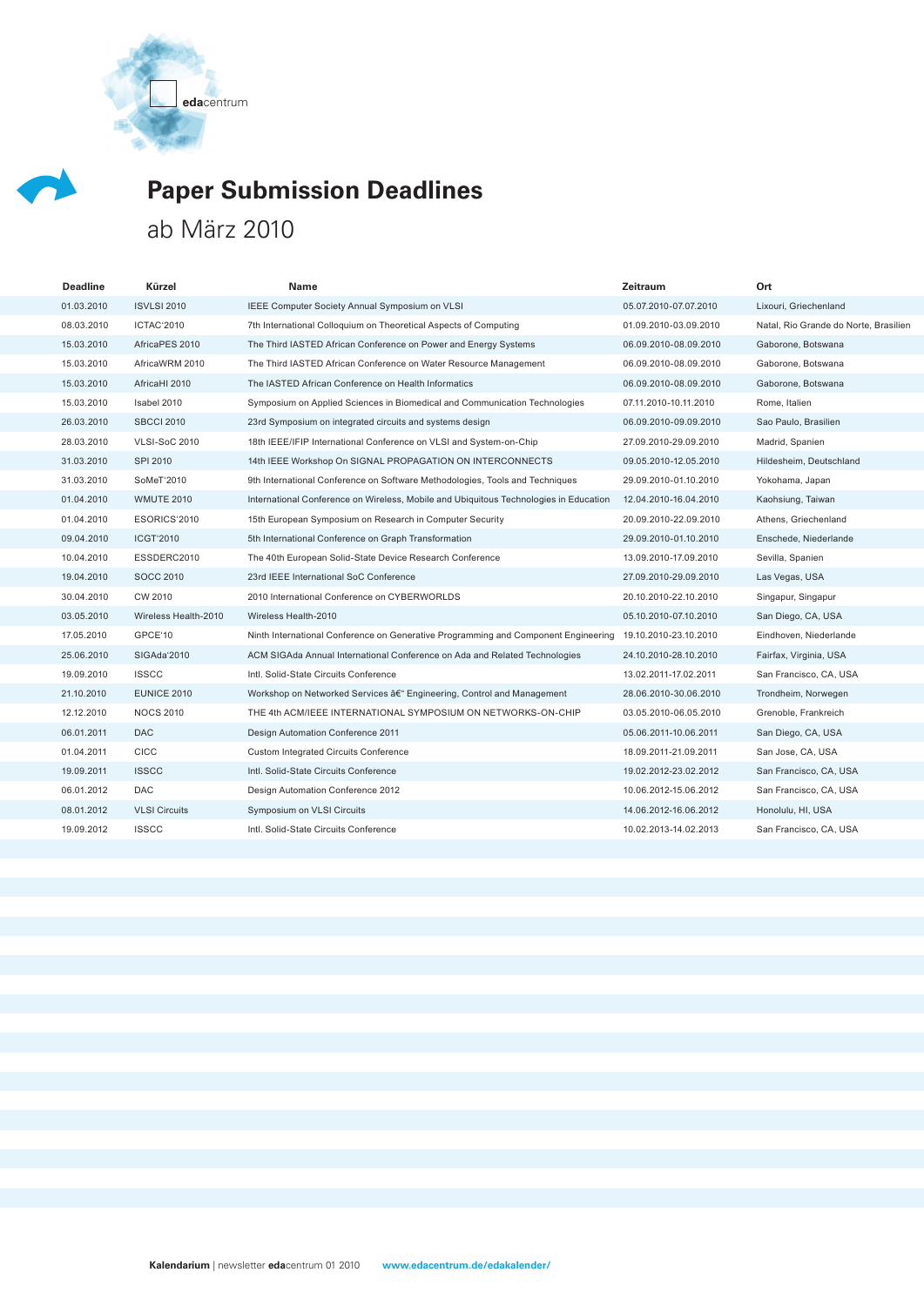**eda**centrum



## **Paper Submission Deadlines**

## ab März 2010

| <b>Deadline</b> | Kürzel               | Name                                                                                  | Zeitraum              | Ort                                   |
|-----------------|----------------------|---------------------------------------------------------------------------------------|-----------------------|---------------------------------------|
| 01.03.2010      | <b>ISVLSI 2010</b>   | IEEE Computer Society Annual Symposium on VLSI                                        | 05.07.2010-07.07.2010 | Lixouri, Griechenland                 |
| 08.03.2010      | ICTAC'2010           | 7th International Colloquium on Theoretical Aspects of Computing                      | 01.09.2010-03.09.2010 | Natal, Rio Grande do Norte, Brasilien |
| 15.03.2010      | AfricaPES 2010       | The Third IASTED African Conference on Power and Energy Systems                       | 06.09.2010-08.09.2010 | Gaborone, Botswana                    |
| 15.03.2010      | AfricaWRM 2010       | The Third IASTED African Conference on Water Resource Management                      | 06.09.2010-08.09.2010 | Gaborone, Botswana                    |
| 15.03.2010      | AfricaHI 2010        | The IASTED African Conference on Health Informatics                                   | 06.09.2010-08.09.2010 | Gaborone, Botswana                    |
| 15.03.2010      | Isabel 2010          | Symposium on Applied Sciences in Biomedical and Communication Technologies            | 07.11.2010-10.11.2010 | Rome, Italien                         |
| 26.03.2010      | <b>SBCCI 2010</b>    | 23rd Symposium on integrated circuits and systems design                              | 06.09.2010-09.09.2010 | Sao Paulo, Brasilien                  |
| 28.03.2010      | <b>VLSI-SoC 2010</b> | 18th IEEE/IFIP International Conference on VLSI and System-on-Chip                    | 27.09.2010-29.09.2010 | Madrid, Spanien                       |
| 31.03.2010      | SPI 2010             | 14th IEEE Workshop On SIGNAL PROPAGATION ON INTERCONNECTS                             | 09.05.2010-12.05.2010 | Hildesheim, Deutschland               |
| 31.03.2010      | SoMeT'2010           | 9th International Conference on Software Methodologies, Tools and Techniques          | 29.09.2010-01.10.2010 | Yokohama, Japan                       |
| 01.04.2010      | <b>WMUTE 2010</b>    | International Conference on Wireless, Mobile and Ubiquitous Technologies in Education | 12.04.2010-16.04.2010 | Kaohsiung, Taiwan                     |
| 01.04.2010      | ESORICS'2010         | 15th European Symposium on Research in Computer Security                              | 20.09.2010-22.09.2010 | Athens, Griechenland                  |
| 09.04.2010      | <b>ICGT'2010</b>     | 5th International Conference on Graph Transformation                                  | 29.09.2010-01.10.2010 | Enschede, Niederlande                 |
| 10.04.2010      | ESSDERC2010          | The 40th European Solid-State Device Research Conference                              | 13.09.2010-17.09.2010 | Sevilla, Spanien                      |
| 19.04.2010      | <b>SOCC 2010</b>     | 23rd IEEE International SoC Conference                                                | 27.09.2010-29.09.2010 | Las Vegas, USA                        |
| 30.04.2010      | CW 2010              | 2010 International Conference on CYBERWORLDS                                          | 20.10.2010-22.10.2010 | Singapur, Singapur                    |
| 03.05.2010      | Wireless Health-2010 | Wireless Health-2010                                                                  | 05.10.2010-07.10.2010 | San Diego, CA, USA                    |
| 17.05.2010      | GPCE'10              | Ninth International Conference on Generative Programming and Component Engineering    | 19.10.2010-23.10.2010 | Eindhoven, Niederlande                |
| 25.06.2010      | SIGAda'2010          | ACM SIGAda Annual International Conference on Ada and Related Technologies            | 24.10.2010-28.10.2010 | Fairfax, Virginia, USA                |
| 19.09.2010      | <b>ISSCC</b>         | Intl. Solid-State Circuits Conference                                                 | 13.02.2011-17.02.2011 | San Francisco, CA, USA                |
| 21.10.2010      | <b>EUNICE 2010</b>   | Workshop on Networked Services â€" Engineering, Control and Management                | 28.06.2010-30.06.2010 | Trondheim, Norwegen                   |
| 12.12.2010      | <b>NOCS 2010</b>     | THE 4th ACM/IEEE INTERNATIONAL SYMPOSIUM ON NETWORKS-ON-CHIP                          | 03.05.2010-06.05.2010 | Grenoble, Frankreich                  |
| 06.01.2011      | <b>DAC</b>           | Design Automation Conference 2011                                                     | 05.06.2011-10.06.2011 | San Diego, CA, USA                    |
| 01.04.2011      | CICC                 | <b>Custom Integrated Circuits Conference</b>                                          | 18.09.2011-21.09.2011 | San Jose, CA, USA                     |
| 19.09.2011      | <b>ISSCC</b>         | Intl. Solid-State Circuits Conference                                                 | 19.02.2012-23.02.2012 | San Francisco, CA, USA                |
| 06.01.2012      | DAC                  | Design Automation Conference 2012                                                     | 10.06.2012-15.06.2012 | San Francisco, CA, USA                |
| 08.01.2012      | <b>VLSI Circuits</b> | Symposium on VLSI Circuits                                                            | 14.06.2012-16.06.2012 | Honolulu, HI, USA                     |
| 19.09.2012      | <b>ISSCC</b>         | Intl. Solid-State Circuits Conference                                                 | 10.02.2013-14.02.2013 | San Francisco, CA, USA                |
|                 |                      |                                                                                       |                       |                                       |